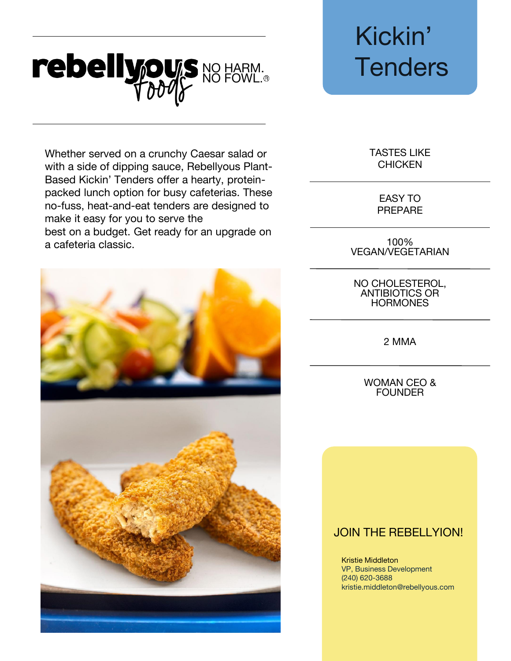## rebellypus NO HARM. Tenders

Whether served on a crunchy Caesar salad or with a side of dipping sauce, Rebellyous Plant-Based Kickin' Tenders offer a hearty, proteinpacked lunch option for busy cafeterias. These no-fuss, heat-and-eat tenders are designed to make it easy for you to serve the best on a budget. Get ready for an upgrade on a cafeteria classic.



# Kickin'

TASTES LIKE **CHICKEN** 

> EASY TO PREPARE

100% VEGAN/VEGETARIAN

NO CHOLESTEROL, ANTIBIOTICS OR **HORMONES** 

2 MMA

WOMAN CEO & **FOUNDER** 

### JOIN THE REBELLYION!

Kristie Middleton VP, Business Development (240) 620-3688 kristie.middleton@rebellyous.com